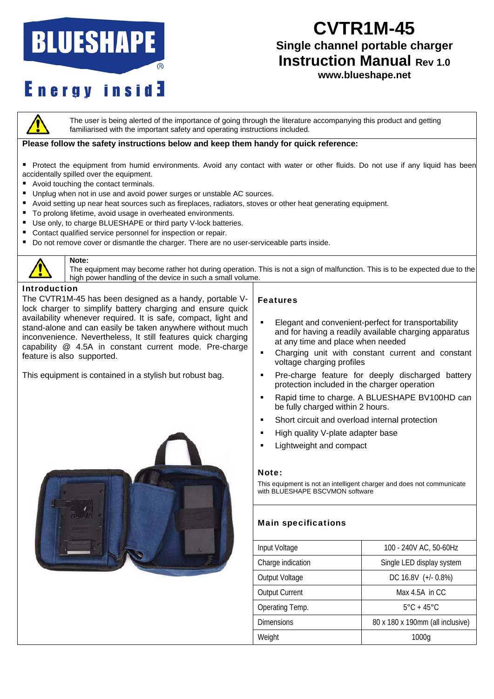# **BLUESHAPE**

# **CVTR1M-45**

## **Single channel portable charger Instruction Manual Rev 1.0**

# **Energy inside**

## **www.blueshape.net**



The user is being alerted of the importance of going through the literature accompanying this product and getting familiarised with the important safety and operating instructions included.

#### **Please follow the safety instructions below and keep them handy for quick reference:**

- Protect the equipment from humid environments. Avoid any contact with water or other fluids. Do not use if any liquid has been accidentally spilled over the equipment.
- Avoid touching the contact terminals.
- Unplug when not in use and avoid power surges or unstable AC sources.
- Avoid setting up near heat sources such as fireplaces, radiators, stoves or other heat generating equipment.
- To prolong lifetime, avoid usage in overheated environments.
- Use only, to charge BLUESHAPE or third party V-lock batteries.
- Contact qualified service personnel for inspection or repair.
- Do not remove cover or dismantle the charger. There are no user-serviceable parts inside.



#### **Note:**

The equipment may become rather hot during operation. This is not a sign of malfunction. This is to be expected due to the high power handling of the device in such a small volume.

#### Introduction

The CVTR1M-45 has been designed as a handy, portable Vlock charger to simplify battery charging and ensure quick availability whenever required. It is safe, compact, light and stand-alone and can easily be taken anywhere without much inconvenience. Nevertheless, It still features quick charging capability @ 4.5A in constant current mode. Pre-charge feature is also supported.

This equipment is contained in a stylish but robust bag.



#### Features

- **Elegant and convenient-perfect for transportability** and for having a readily available charging apparatus at any time and place when needed
- Charging unit with constant current and constant voltage charging profiles
- **Pre-charge feature for deeply discharged battery** protection included in the charger operation
- Rapid time to charge. A BLUESHAPE BV100HD can be fully charged within 2 hours.
- Short circuit and overload internal protection
- **High quality V-plate adapter base**
- **Lightweight and compact**

#### Note:

This equipment is not an intelligent charger and does not communicate with BLUESHAPE BSCVMON software

### Main specifications

| Input Voltage         | 100 - 240V AC, 50-60Hz           |
|-----------------------|----------------------------------|
| Charge indication     | Single LED display system        |
| Output Voltage        | DC 16.8V (+/- 0.8%)              |
| <b>Output Current</b> | Max $4.5A$ in CC                 |
| Operating Temp.       | $5^{\circ}$ C + 45 $^{\circ}$ C  |
| <b>Dimensions</b>     | 80 x 180 x 190mm (all inclusive) |
| Weight                | 1000g                            |